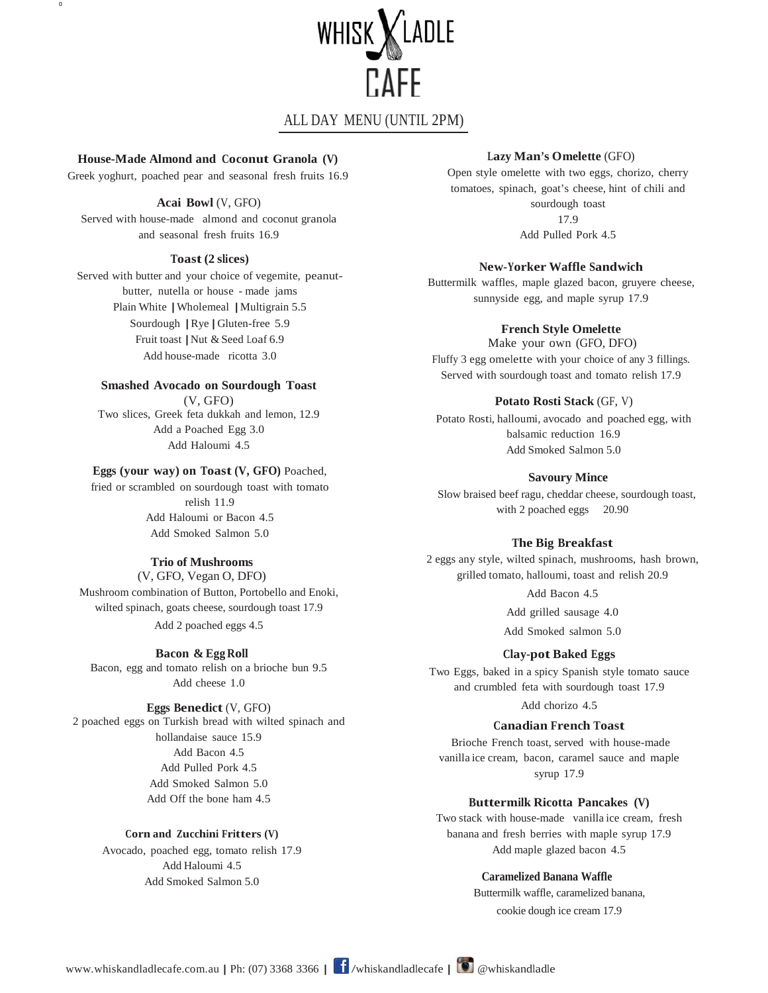

# ALL DAY MENU (UNTIL 2PM)

**House-Made Almond and Coconut Granola (V)**

0

Greek yoghurt, poached pear and seasonal fresh fruits 16.9

#### **Acai Bowl** (V, GFO)

Served with house-made almond and coconut granola and seasonal fresh fruits 16.9

## **Toast(2 slices)**

Served with butter and your choice of vegemite, peanutbutter, nutella or house - made jams Plain White |Wholemeal |Multigrain 5.5 Sourdough |Rye |Gluten-free 5.9 Fruit toast | Nut & Seed Loaf 6.9 Add house-made ricotta 3.0

# **Smashed Avocado on Sourdough Toast**

(V, GFO) Two slices, Greek feta dukkah and lemon, 12.9 Add a Poached Egg 3.0 Add Haloumi 4.5

## **Eggs (your way) on Toast (V, GFO)** Poached,

fried or scrambled on sourdough toast with tomato relish 11.9 Add Haloumi or Bacon 4.5 Add Smoked Salmon 5.0

### **Trio of Mushrooms**

(V, GFO, Vegan O, DFO) Mushroom combination of Button, Portobello and Enoki, wilted spinach, goats cheese, sourdough toast 17.9 Add 2 poached eggs 4.5

#### **Bacon & Egg Roll**

Bacon, egg and tomato relish on a brioche bun 9.5 Add cheese 1.0

#### **Eggs Benedict** (V, GFO)

2 poached eggs on Turkish bread with wilted spinach and hollandaise sauce 15.9 Add Bacon 4.5 Add Pulled Pork 4.5 Add Smoked Salmon 5.0 Add Off the bone ham 4.5

#### **Corn and Zucchini Fritters (V)**

Avocado, poached egg, tomato relish 17.9 Add Haloumi 4.5 Add Smoked Salmon 5.0

# **Lazy Man's Omelette** (GFO)

Open style omelette with two eggs, chorizo, cherry tomatoes, spinach, goat's cheese, hint of chili and sourdough toast 17.9 Add Pulled Pork 4.5

#### **New-Yorker Waffle Sandwich**

Buttermilk waffles, maple glazed bacon, gruyere cheese, sunnyside egg, and maple syrup 17.9

#### **French Style Omelette**

Make your own (GFO, DFO) Fluffy 3 egg omelette with your choice of any 3 fillings. Served with sourdough toast and tomato relish 17.9

#### **Potato Rosti Stack** (GF, V)

Potato Rosti, halloumi, avocado and poached egg, with balsamic reduction 16.9 Add Smoked Salmon 5.0

#### **Savoury Mince**

 Slow braised beef ragu, cheddar cheese, sourdough toast, with 2 poached eggs 20.90

#### **The Big Breakfast**

2 eggs any style, wilted spinach, mushrooms, hash brown, grilled tomato, halloumi, toast and relish 20.9 Add Bacon 4.5

Add grilled sausage 4.0

Add Smoked salmon 5.0

### **Clay-pot Baked Eggs**

Two Eggs, baked in a spicy Spanish style tomato sauce and crumbled feta with sourdough toast 17.9 Add chorizo 4.5

#### **Canadian French Toast**

Brioche French toast, served with house-made vanilla ice cream, bacon, caramel sauce and maple syrup 17.9

#### **Buttermilk Ricotta Pancakes (V)**

Two stack with house-made vanilla ice cream, fresh banana and fresh berries with maple syrup 17.9 Add maple glazed bacon 4.5

#### **Caramelized Banana Waffle**

Buttermilk waffle, caramelized banana, cookie dough ice cream 17.9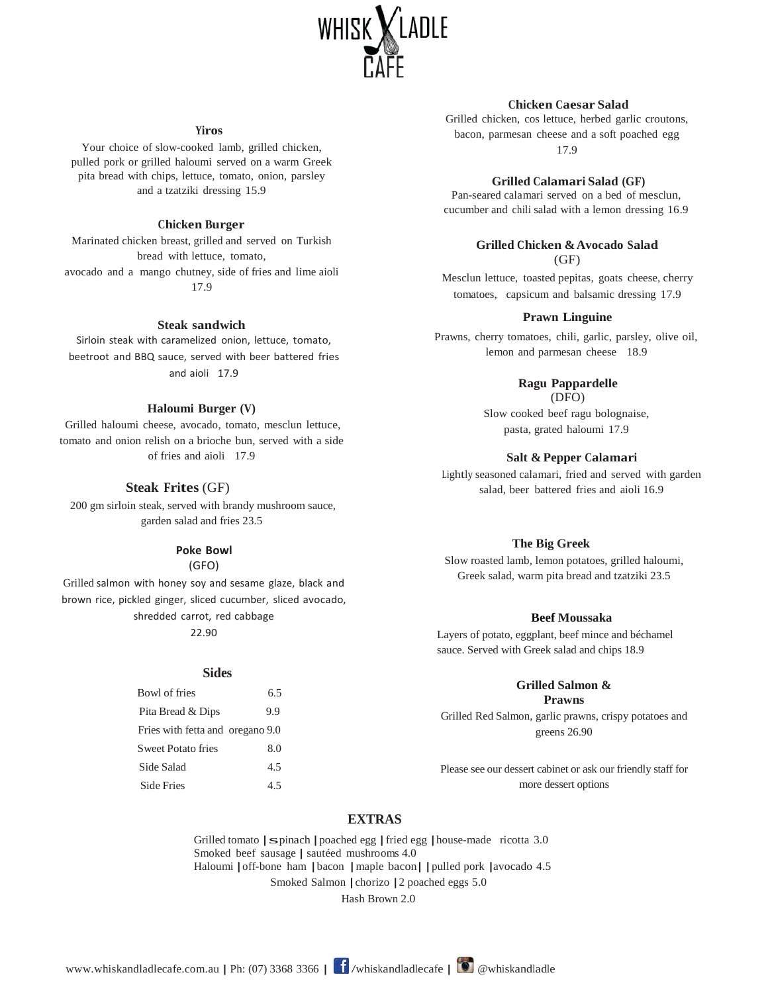

#### **Yiros**

Your choice of slow-cooked lamb, grilled chicken, pulled pork or grilled haloumi served on a warm Greek pita bread with chips, lettuce, tomato, onion, parsley and a tzatziki dressing 15.9

#### **Chicken Burger**

Marinated chicken breast, grilled and served on Turkish bread with lettuce, tomato, avocado and a mango chutney, side of fries and lime aioli 17.9

#### **Steak sandwich**

Sirloin steak with caramelized onion, lettuce, tomato, beetroot and BBQ sauce, served with beer battered fries and aioli 17.9

#### **Haloumi Burger (V)**

Grilled haloumi cheese, avocado, tomato, mesclun lettuce, tomato and onion relish on a brioche bun, served with a side of fries and aioli 17.9

#### **Steak Frites** (GF)

200 gm sirloin steak, served with brandy mushroom sauce, garden salad and fries 23.5

#### **Poke Bowl**

(GFO)

Grilled salmon with honey soy and sesame glaze, black and brown rice, pickled ginger, sliced cucumber, sliced avocado, shredded carrot, red cabbage 22.90

#### **Sides**

| Bowl of fries                    | 6.5 |
|----------------------------------|-----|
| Pita Bread & Dips                | 9.9 |
| Fries with fetta and oregano 9.0 |     |
| <b>Sweet Potato fries</b>        | 8.0 |
| Side Salad                       | 4.5 |
| <b>Side Fries</b>                | 4.5 |
|                                  |     |

#### **Chicken Caesar Salad**

Grilled chicken, cos lettuce, herbed garlic croutons, bacon, parmesan cheese and a soft poached egg

17.9

#### **Grilled Calamari Salad (GF)**

Pan-seared calamari served on a bed of mesclun, cucumber and chili salad with a lemon dressing 16.9

#### **Grilled Chicken &Avocado Salad**  $(GF)$

Mesclun lettuce, toasted pepitas, goats cheese, cherry tomatoes, capsicum and balsamic dressing 17.9

#### **Prawn Linguine**

Prawns, cherry tomatoes, chili, garlic, parsley, olive oil, lemon and parmesan cheese 18.9

#### **Ragu Pappardelle** (DFO)

Slow cooked beef ragu bolognaise, pasta, grated haloumi 17.9

#### **Salt & Pepper Calamari**

Lightly seasoned calamari, fried and served with garden salad, beer battered fries and aioli 16.9

#### **The Big Greek**

Slow roasted lamb, lemon potatoes, grilled haloumi, Greek salad, warm pita bread and tzatziki 23.5

#### **Beef Moussaka**

Layers of potato, eggplant, beef mince and béchamel sauce. Served with Greek salad and chips 18.9

#### **Grilled Salmon & Prawns**

Grilled Red Salmon, garlic prawns, crispy potatoes and greens 26.90

Please see our dessert cabinet or ask our friendly staff for more dessert options

## **EXTRAS**

Grilled tomato | spinach | poached egg | fried egg | house-made ricotta 3.0 Smoked beef sausage | sautéed mushrooms 4.0 Haloumi | off-bone ham | bacon | maple bacon | | pulled pork | avocado 4.5 Smoked Salmon |chorizo |2 poached eggs 5.0

Hash Brown 2.0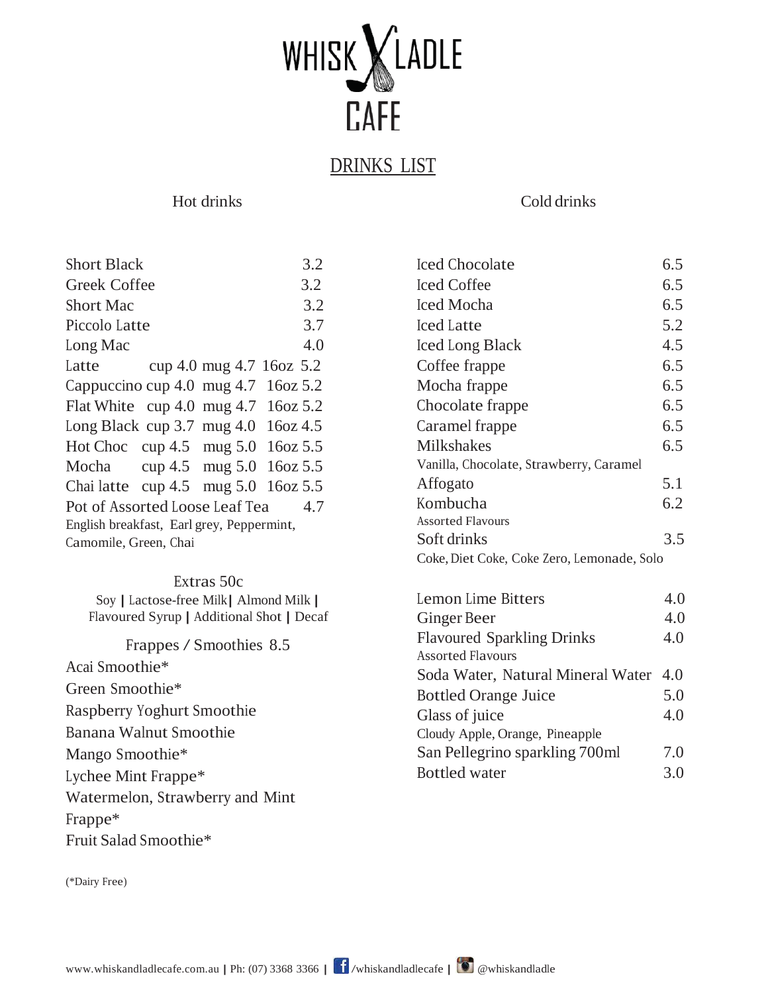

# DRINKS LIST

# Hot drinks

Cold drinks

Iced Chocolate 6.5

| <b>Short Black</b>                        | 3.2                      |  |  |  |
|-------------------------------------------|--------------------------|--|--|--|
| <b>Greek Coffee</b>                       | 3.2                      |  |  |  |
| <b>Short Mac</b>                          | 3.2                      |  |  |  |
| Piccolo Latte                             | 3.7                      |  |  |  |
| Long Mac                                  | 4.0                      |  |  |  |
| Latte                                     | cup 4.0 mug 4.7 16oz 5.2 |  |  |  |
| Cappuccino cup 4.0 mug $4.7$ 16oz 5.2     |                          |  |  |  |
| Flat White cup 4.0 mug 4.7 16oz 5.2       |                          |  |  |  |
| Long Black cup 3.7 mug $4.0$ 16oz $4.5$   |                          |  |  |  |
| Hot Choc cup 4.5 mug 5.0 16oz 5.5         |                          |  |  |  |
| Mocha cup 4.5 mug 5.0 16oz 5.5            |                          |  |  |  |
| Chai latte cup $4.5$ mug $5.0$ 16oz $5.5$ |                          |  |  |  |
| Pot of Assorted Loose Leaf Tea 4.7        |                          |  |  |  |
| English breakfast, Earl grey, Peppermint, |                          |  |  |  |
| Camomile, Green, Chai                     |                          |  |  |  |

# Extras 50c

Soy | Lactose-free Milk|Almond Milk | Flavoured Syrup | Additional Shot | Decaf

Frappes / Smoothies 8.5 Acai Smoothie\* Green Smoothie\* Raspberry Yoghurt Smoothie Banana Walnut Smoothie Mango Smoothie\* Lychee Mint Frappe\* Watermelon, Strawberry and Mint Frappe\* Fruit Salad Smoothie\*

| Iced Coffee                                | 6.5 |
|--------------------------------------------|-----|
| Iced Mocha                                 | 6.5 |
| Iced Latte                                 | 5.2 |
| Iced Long Black                            | 4.5 |
| Coffee frappe                              | 6.5 |
| Mocha frappe                               | 6.5 |
| Chocolate frappe                           | 6.5 |
| Caramel frappe                             | 6.5 |
| Milkshakes                                 | 6.5 |
| Vanilla, Chocolate, Strawberry, Caramel    |     |
| Affogato                                   | 5.1 |
| Kombucha                                   | 6.2 |
| <b>Assorted Flavours</b>                   |     |
| Soft drinks                                | 3.5 |
| Coke, Diet Coke, Coke Zero, Lemonade, Solo |     |
| Lemon Lime Bitters                         | 4.0 |
| Ginger Beer                                |     |
| <b>Flavoured Sparkling Drinks</b>          | 4.0 |
| <b>Assorted Flavours</b>                   |     |
| Soda Water, Natural Mineral Water 4.0      |     |
| <b>Bottled Orange Juice</b>                |     |
| Glass of juice                             | 4.0 |
| Cloudy Apple, Orange, Pineapple            |     |

San Pellegrino sparkling 700ml

Bottled water 3.0

7.0